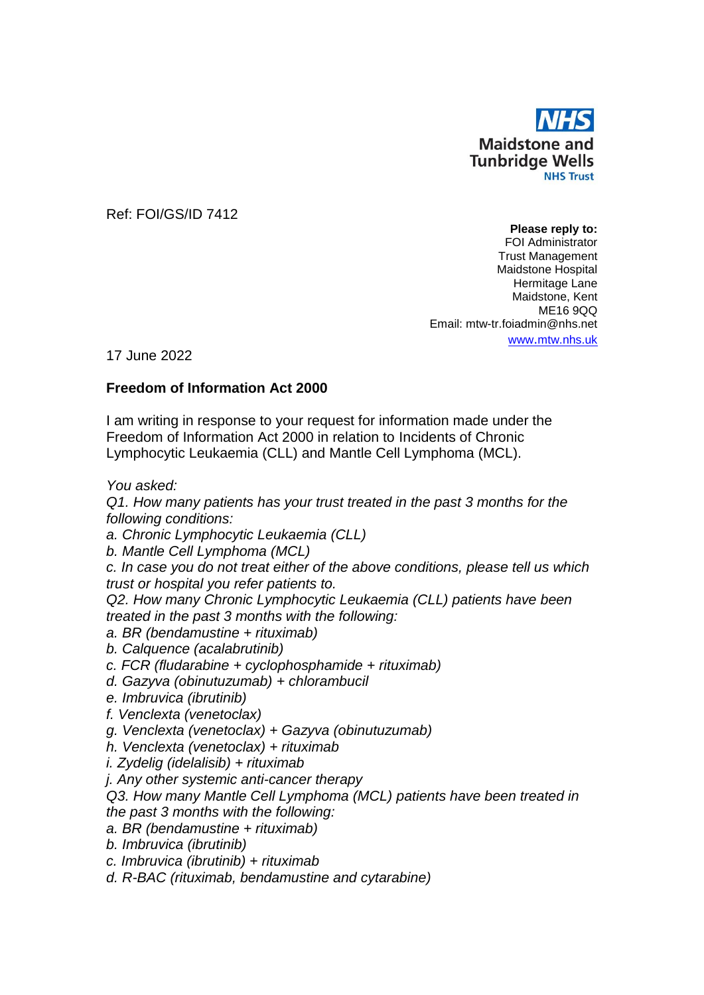

Ref: FOI/GS/ID 7412

**Please reply to:** FOI Administrator Trust Management Maidstone Hospital Hermitage Lane Maidstone, Kent ME16 9QQ Email: mtw-tr.foiadmin@nhs.net www.[mtw.nhs.uk](http://www.mtw.nhs.uk/)

17 June 2022

## **Freedom of Information Act 2000**

I am writing in response to your request for information made under the Freedom of Information Act 2000 in relation to Incidents of Chronic Lymphocytic Leukaemia (CLL) and Mantle Cell Lymphoma (MCL).

*You asked:*

*Q1. How many patients has your trust treated in the past 3 months for the following conditions:*

*a. Chronic Lymphocytic Leukaemia (CLL)*

*b. Mantle Cell Lymphoma (MCL)*

*c. In case you do not treat either of the above conditions, please tell us which trust or hospital you refer patients to.*

*Q2. How many Chronic Lymphocytic Leukaemia (CLL) patients have been treated in the past 3 months with the following:* 

*a. BR (bendamustine + rituximab)*

*b. Calquence (acalabrutinib)*

- *c. FCR (fludarabine + cyclophosphamide + rituximab)*
- *d. Gazyva (obinutuzumab) + chlorambucil*
- *e. Imbruvica (ibrutinib)*
- *f. Venclexta (venetoclax)*
- *g. Venclexta (venetoclax) + Gazyva (obinutuzumab)*

*h. Venclexta (venetoclax) + rituximab*

*i. Zydelig (idelalisib) + rituximab*

*j. Any other systemic anti-cancer therapy*

*Q3. How many Mantle Cell Lymphoma (MCL) patients have been treated in the past 3 months with the following:*

- *a. BR (bendamustine + rituximab)*
- *b. Imbruvica (ibrutinib)*

*c. Imbruvica (ibrutinib) + rituximab*

*d. R-BAC (rituximab, bendamustine and cytarabine)*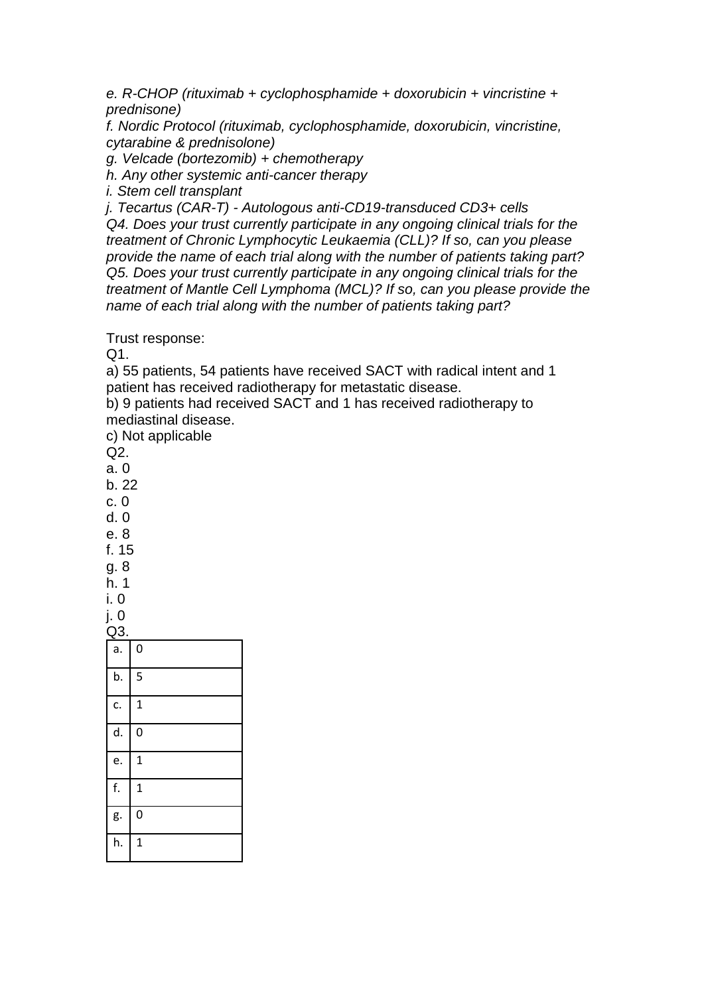*e. R-CHOP (rituximab + cyclophosphamide + doxorubicin + vincristine + prednisone)*

*f. Nordic Protocol (rituximab, cyclophosphamide, doxorubicin, vincristine, cytarabine & prednisolone)*

*g. Velcade (bortezomib) + chemotherapy*

*h. Any other systemic anti-cancer therapy*

*i. Stem cell transplant*

*j. Tecartus (CAR-T) - Autologous anti-CD19-transduced CD3+ cells Q4. Does your trust currently participate in any ongoing clinical trials for the treatment of Chronic Lymphocytic Leukaemia (CLL)? If so, can you please provide the name of each trial along with the number of patients taking part? Q5. Does your trust currently participate in any ongoing clinical trials for the treatment of Mantle Cell Lymphoma (MCL)? If so, can you please provide the name of each trial along with the number of patients taking part?*

Trust response:

Q1.

a) 55 patients, 54 patients have received SACT with radical intent and 1 patient has received radiotherapy for metastatic disease.

b) 9 patients had received SACT and 1 has received radiotherapy to mediastinal disease.

c) Not applicable

Q2.

- a. 0
- b. 22

c. 0

d. 0

e. 8 f. 15

g. 8

h. 1

i. 0

j. 0

| Q3.              |              |
|------------------|--------------|
| $\overline{a}$ . | $\mathbf 0$  |
| b.               | 5            |
| c.               | $\mathbf{1}$ |
| d.               | 0            |
| e.               | $\mathbf{1}$ |
| f.               | $\mathbf{1}$ |
| g.               | 0            |
| h.               | $\mathbf{1}$ |